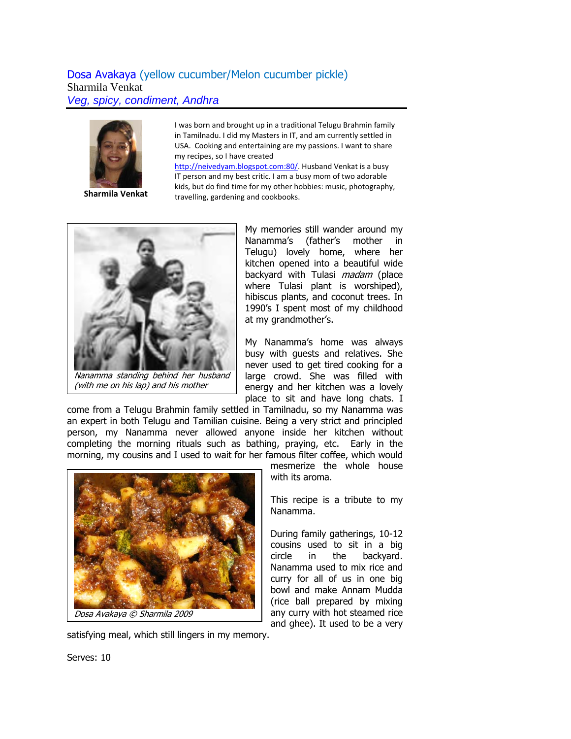## Dosa Avakaya (yellow cucumber/Melon cucumber pickle) Sharmila Venkat *Veg, spicy, condiment, Andhra*



**Sharmila Venkat**

I was born and brought up in a traditional Telugu Brahmin family in Tamilnadu. I did my Masters in IT, and am currently settled in USA. Cooking and entertaining are my passions. I want to share my recipes, so I have created

[http://neivedyam.blogspot.com:80/](http://neivedyam.blogspot.com/). Husband Venkat is a busy IT person and my best critic. I am a busy mom of two adorable kids, but do find time for my other hobbies: music, photography, travelling, gardening and cookbooks.



(with me on his lap) and his mother

My memories still wander around my Nanamma's (father's mother in Telugu) lovely home, where her kitchen opened into a beautiful wide backyard with Tulasi *madam* (place where Tulasi plant is worshiped), hibiscus plants, and coconut trees. In 1990's I spent most of my childhood at my grandmother's.

My Nanamma's home was always busy with guests and relatives. She never used to get tired cooking for a large crowd. She was filled with energy and her kitchen was a lovely place to sit and have long chats. I

come from a Telugu Brahmin family settled in Tamilnadu, so my Nanamma was an expert in both Telugu and Tamilian cuisine. Being a very strict and principled person, my Nanamma never allowed anyone inside her kitchen without completing the morning rituals such as bathing, praying, etc. Early in the morning, my cousins and I used to wait for her famous filter coffee, which would



satisfying meal, which still lingers in my memory.

mesmerize the whole house with its aroma.

This recipe is a tribute to my Nanamma.

During family gatherings, 10-12 cousins used to sit in a big circle in the backyard. Nanamma used to mix rice and curry for all of us in one big bowl and make Annam Mudda (rice ball prepared by mixing any curry with hot steamed rice and ghee). It used to be a very

Serves: 10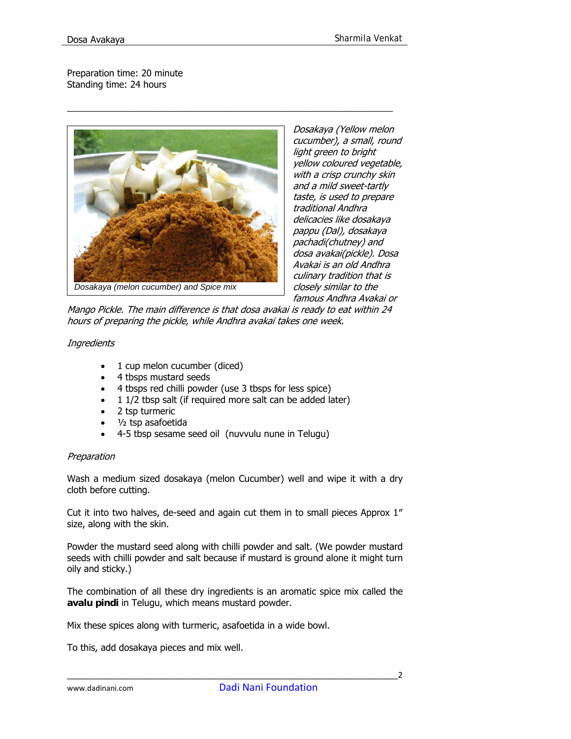Preparation time: 20 minute Standing time: 24 hours



Dosakaya (Yellow melon cucumber), a small, round light green to bright yellow coloured vegetable, with a crisp crunchy skin and a mild sweet-tartly taste, is used to prepare traditional Andhra delicacies like dosakaya pappu (Dal), dosakaya pachadi(chutney) and dosa avakai(pickle). Dosa Avakai is an old Andhra culinary tradition that is closely similar to the famous Andhra Avakai or

Mango Pickle. The main difference is that dosa avakai is ready to eat within 24 hours of preparing the pickle, while Andhra avakai takes one week.

\_\_\_\_\_\_\_\_\_\_\_\_\_\_\_\_\_\_\_\_\_\_\_\_\_\_\_\_\_\_\_\_\_\_\_\_\_\_\_\_\_\_\_\_\_\_\_\_\_\_\_\_\_\_\_\_\_\_\_\_\_\_\_\_

## **Ingredients**

- 1 cup melon cucumber (diced)
- 4 tbsps mustard seeds
- 4 tbsps red chilli powder (use 3 tbsps for less spice)
- 1 1/2 tbsp salt (if required more salt can be added later)
- 2 tsp turmeric
- ½ tsp asafoetida
- 4-5 tbsp sesame seed oil (nuvvulu nune in Telugu)

## Preparation

Wash a medium sized dosakaya (melon Cucumber) well and wipe it with a dry cloth before cutting.

Cut it into two halves, de-seed and again cut them in to small pieces Approx 1″ size, along with the skin.

Powder the mustard seed along with chilli powder and salt. (We powder mustard seeds with chilli powder and salt because if mustard is ground alone it might turn oily and sticky.)

The combination of all these dry ingredients is an aromatic spice mix called the **avalu pindi** in Telugu, which means mustard powder.

Mix these spices along with turmeric, asafoetida in a wide bowl.

To this, add dosakaya pieces and mix well.